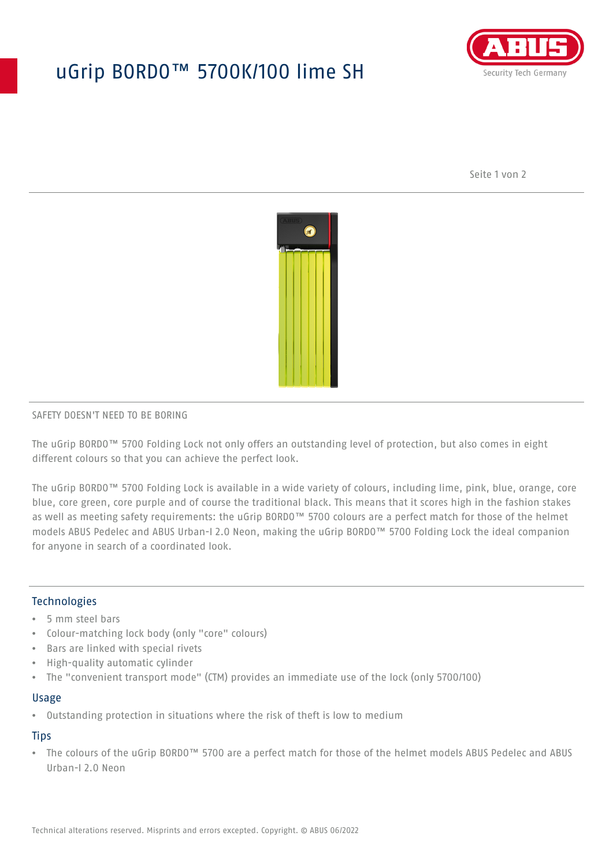## uGrip BORDO™ 5700K/100 lime SH



Seite 1 von 2



## SAFETY DOESN'T NEED TO BE BORING

The uGrip BORDO™ 5700 Folding Lock not only offers an outstanding level of protection, but also comes in eight different colours so that you can achieve the perfect look.

The uGrip BORDO™ 5700 Folding Lock is available in a wide variety of colours, including lime, pink, blue, orange, core blue, core green, core purple and of course the traditional black. This means that it scores high in the fashion stakes as well as meeting safety requirements: the uGrip BORDO™ 5700 colours are a perfect match for those of the helmet models ABUS Pedelec and ABUS Urban-I 2.0 Neon, making the uGrip BORDO™ 5700 Folding Lock the ideal companion for anyone in search of a coordinated look.

## Technologies

- 5 mm steel bars
- Colour-matching lock body (only "core" colours)
- Bars are linked with special rivets
- High-quality automatic cylinder
- The "convenient transport mode" (CTM) provides an immediate use of the lock (only 5700/100)

#### Usage

• Outstanding protection in situations where the risk of theft is low to medium

## **Tips**

• The colours of the uGrip BORDO™ 5700 are a perfect match for those of the helmet models ABUS Pedelec and ABUS Urban-I 2.0 Neon